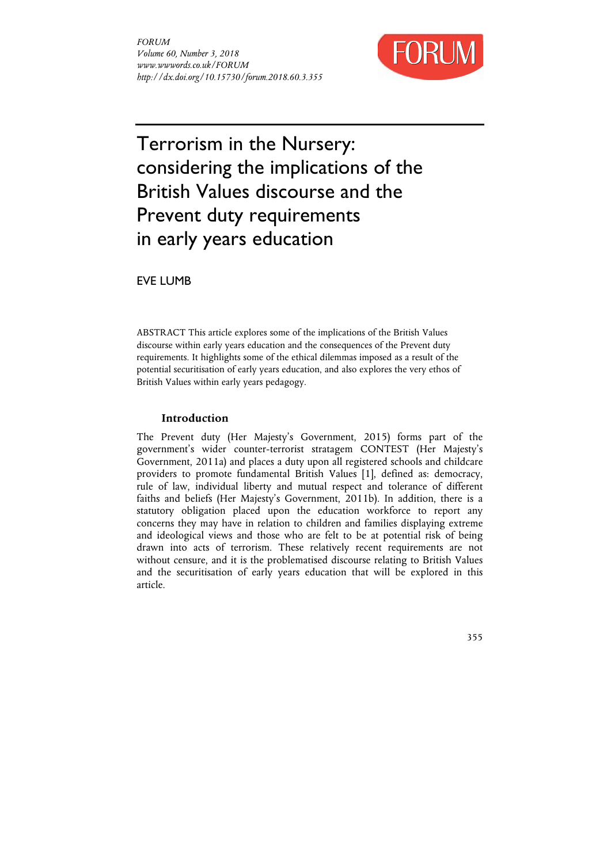

# Terrorism in the Nursery: considering the implications of the British Values discourse and the Prevent duty requirements in early years education

EVE LUMB

ABSTRACT This article explores some of the implications of the British Values discourse within early years education and the consequences of the Prevent duty requirements. It highlights some of the ethical dilemmas imposed as a result of the potential securitisation of early years education, and also explores the very ethos of British Values within early years pedagogy.

# **Introduction**

The Prevent duty (Her Majesty's Government, 2015) forms part of the government's wider counter-terrorist stratagem CONTEST (Her Majesty's Government, 2011a) and places a duty upon all registered schools and childcare providers to promote fundamental British Values [1], defined as: democracy, rule of law, individual liberty and mutual respect and tolerance of different faiths and beliefs (Her Majesty's Government, 2011b). In addition, there is a statutory obligation placed upon the education workforce to report any concerns they may have in relation to children and families displaying extreme and ideological views and those who are felt to be at potential risk of being drawn into acts of terrorism. These relatively recent requirements are not without censure, and it is the problematised discourse relating to British Values and the securitisation of early years education that will be explored in this article.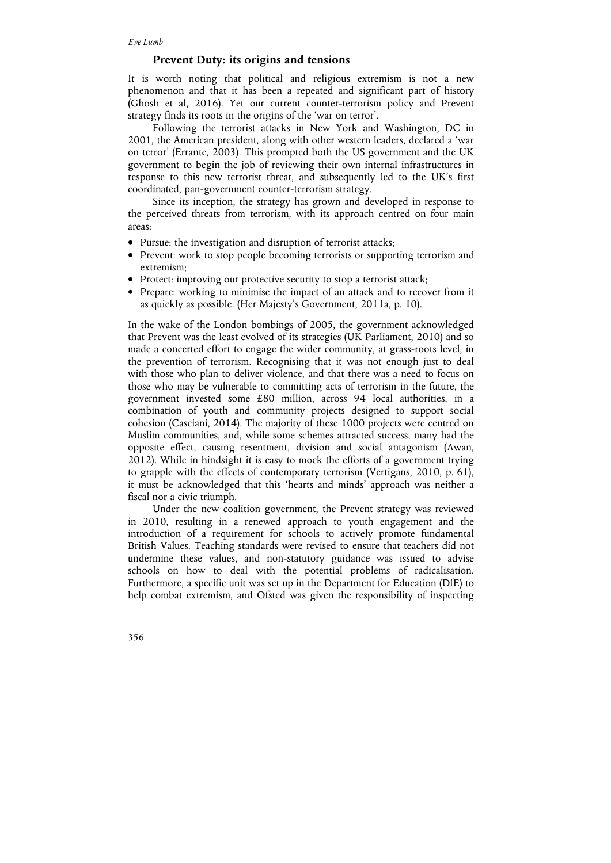## **Prevent Duty: its origins and tensions**

It is worth noting that political and religious extremism is not a new phenomenon and that it has been a repeated and significant part of history (Ghosh et al, 2016). Yet our current counter-terrorism policy and Prevent strategy finds its roots in the origins of the 'war on terror'.

Following the terrorist attacks in New York and Washington, DC in 2001, the American president, along with other western leaders, declared a 'war on terror' (Errante, 2003). This prompted both the US government and the UK government to begin the job of reviewing their own internal infrastructures in response to this new terrorist threat, and subsequently led to the UK's first coordinated, pan-government counter-terrorism strategy.

Since its inception, the strategy has grown and developed in response to the perceived threats from terrorism, with its approach centred on four main areas:

- Pursue: the investigation and disruption of terrorist attacks;
- Prevent: work to stop people becoming terrorists or supporting terrorism and extremism;
- Protect: improving our protective security to stop a terrorist attack;
- Prepare: working to minimise the impact of an attack and to recover from it as quickly as possible. (Her Majesty's Government, 2011a, p. 10).

In the wake of the London bombings of 2005, the government acknowledged that Prevent was the least evolved of its strategies (UK Parliament, 2010) and so made a concerted effort to engage the wider community, at grass-roots level, in the prevention of terrorism. Recognising that it was not enough just to deal with those who plan to deliver violence, and that there was a need to focus on those who may be vulnerable to committing acts of terrorism in the future, the government invested some £80 million, across 94 local authorities, in a combination of youth and community projects designed to support social cohesion (Casciani, 2014). The majority of these 1000 projects were centred on Muslim communities, and, while some schemes attracted success, many had the opposite effect, causing resentment, division and social antagonism (Awan, 2012). While in hindsight it is easy to mock the efforts of a government trying to grapple with the effects of contemporary terrorism (Vertigans, 2010, p. 61), it must be acknowledged that this 'hearts and minds' approach was neither a fiscal nor a civic triumph.

Under the new coalition government, the Prevent strategy was reviewed in 2010, resulting in a renewed approach to youth engagement and the introduction of a requirement for schools to actively promote fundamental British Values. Teaching standards were revised to ensure that teachers did not undermine these values, and non-statutory guidance was issued to advise schools on how to deal with the potential problems of radicalisation. Furthermore, a specific unit was set up in the Department for Education (DfE) to help combat extremism, and Ofsted was given the responsibility of inspecting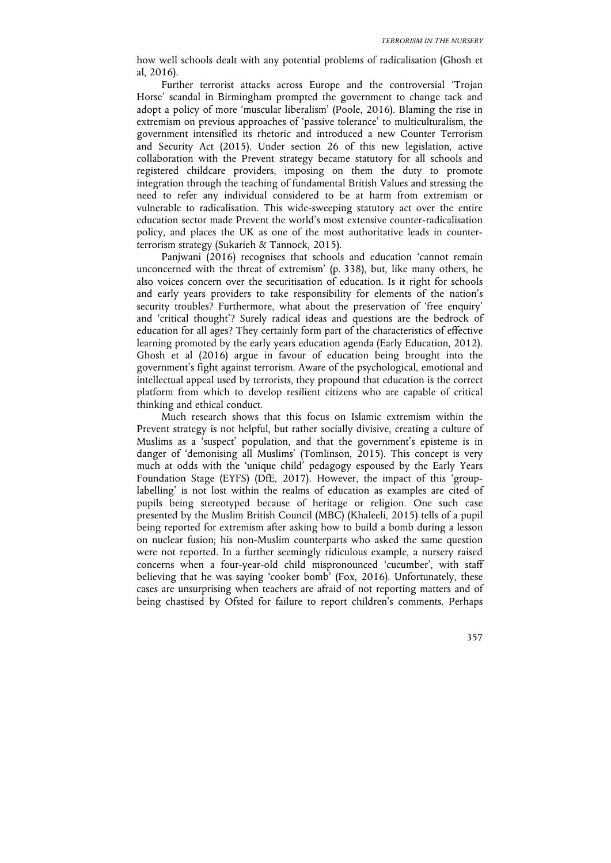how well schools dealt with any potential problems of radicalisation (Ghosh et al, 2016).

Further terrorist attacks across Europe and the controversial 'Trojan Horse' scandal in Birmingham prompted the government to change tack and adopt a policy of more 'muscular liberalism' (Poole, 2016). Blaming the rise in extremism on previous approaches of 'passive tolerance' to multiculturalism, the government intensified its rhetoric and introduced a new Counter Terrorism and Security Act (2015). Under section 26 of this new legislation, active collaboration with the Prevent strategy became statutory for all schools and registered childcare providers, imposing on them the duty to promote integration through the teaching of fundamental British Values and stressing the need to refer any individual considered to be at harm from extremism or vulnerable to radicalisation. This wide-sweeping statutory act over the entire education sector made Prevent the world's most extensive counter-radicalisation policy, and places the UK as one of the most authoritative leads in counterterrorism strategy (Sukarieh & Tannock, 2015).

Panjwani (2016) recognises that schools and education 'cannot remain unconcerned with the threat of extremism' (p. 338), but, like many others, he also voices concern over the securitisation of education. Is it right for schools and early years providers to take responsibility for elements of the nation's security troubles? Furthermore, what about the preservation of 'free enquiry' and 'critical thought'? Surely radical ideas and questions are the bedrock of education for all ages? They certainly form part of the characteristics of effective learning promoted by the early years education agenda (Early Education, 2012). Ghosh et al (2016) argue in favour of education being brought into the government's fight against terrorism. Aware of the psychological, emotional and intellectual appeal used by terrorists, they propound that education is the correct platform from which to develop resilient citizens who are capable of critical thinking and ethical conduct.

Much research shows that this focus on Islamic extremism within the Prevent strategy is not helpful, but rather socially divisive, creating a culture of Muslims as a 'suspect' population, and that the government's episteme is in danger of 'demonising all Muslims' (Tomlinson, 2015). This concept is very much at odds with the 'unique child' pedagogy espoused by the Early Years Foundation Stage (EYFS) (DfE, 2017). However, the impact of this 'grouplabelling' is not lost within the realms of education as examples are cited of pupils being stereotyped because of heritage or religion. One such case presented by the Muslim British Council (MBC) (Khaleeli, 2015) tells of a pupil being reported for extremism after asking how to build a bomb during a lesson on nuclear fusion; his non-Muslim counterparts who asked the same question were not reported. In a further seemingly ridiculous example, a nursery raised concerns when a four-year-old child mispronounced 'cucumber', with staff believing that he was saying 'cooker bomb' (Fox, 2016). Unfortunately, these cases are unsurprising when teachers are afraid of not reporting matters and of being chastised by Ofsted for failure to report children's comments. Perhaps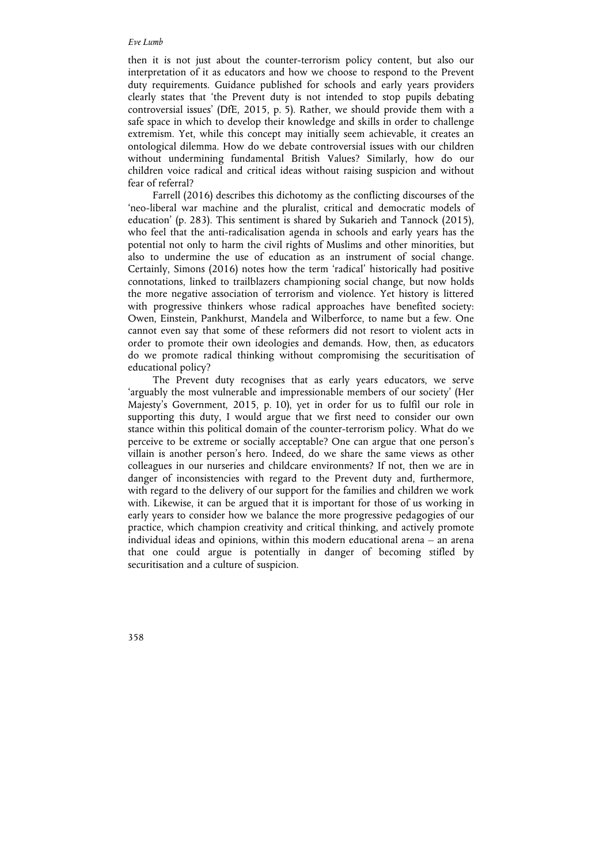### *Eve Lumb*

then it is not just about the counter-terrorism policy content, but also our interpretation of it as educators and how we choose to respond to the Prevent duty requirements. Guidance published for schools and early years providers clearly states that 'the Prevent duty is not intended to stop pupils debating controversial issues' (DfE, 2015, p. 5). Rather, we should provide them with a safe space in which to develop their knowledge and skills in order to challenge extremism. Yet, while this concept may initially seem achievable, it creates an ontological dilemma. How do we debate controversial issues with our children without undermining fundamental British Values? Similarly, how do our children voice radical and critical ideas without raising suspicion and without fear of referral?

Farrell (2016) describes this dichotomy as the conflicting discourses of the 'neo-liberal war machine and the pluralist, critical and democratic models of education' (p. 283). This sentiment is shared by Sukarieh and Tannock (2015), who feel that the anti-radicalisation agenda in schools and early years has the potential not only to harm the civil rights of Muslims and other minorities, but also to undermine the use of education as an instrument of social change. Certainly, Simons (2016) notes how the term 'radical' historically had positive connotations, linked to trailblazers championing social change, but now holds the more negative association of terrorism and violence. Yet history is littered with progressive thinkers whose radical approaches have benefited society: Owen, Einstein, Pankhurst, Mandela and Wilberforce, to name but a few. One cannot even say that some of these reformers did not resort to violent acts in order to promote their own ideologies and demands. How, then, as educators do we promote radical thinking without compromising the securitisation of educational policy?

The Prevent duty recognises that as early years educators, we serve 'arguably the most vulnerable and impressionable members of our society' (Her Majesty's Government, 2015, p. 10), yet in order for us to fulfil our role in supporting this duty, I would argue that we first need to consider our own stance within this political domain of the counter-terrorism policy. What do we perceive to be extreme or socially acceptable? One can argue that one person's villain is another person's hero. Indeed, do we share the same views as other colleagues in our nurseries and childcare environments? If not, then we are in danger of inconsistencies with regard to the Prevent duty and, furthermore, with regard to the delivery of our support for the families and children we work with. Likewise, it can be argued that it is important for those of us working in early years to consider how we balance the more progressive pedagogies of our practice, which champion creativity and critical thinking, and actively promote individual ideas and opinions, within this modern educational arena – an arena that one could argue is potentially in danger of becoming stifled by securitisation and a culture of suspicion.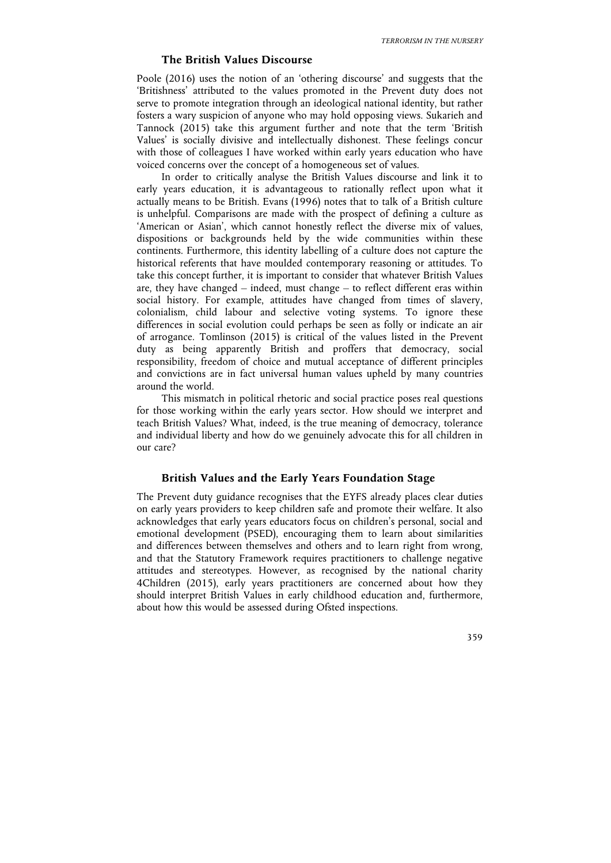## **The British Values Discourse**

Poole (2016) uses the notion of an 'othering discourse' and suggests that the 'Britishness' attributed to the values promoted in the Prevent duty does not serve to promote integration through an ideological national identity, but rather fosters a wary suspicion of anyone who may hold opposing views. Sukarieh and Tannock (2015) take this argument further and note that the term 'British Values' is socially divisive and intellectually dishonest. These feelings concur with those of colleagues I have worked within early years education who have voiced concerns over the concept of a homogeneous set of values.

In order to critically analyse the British Values discourse and link it to early years education, it is advantageous to rationally reflect upon what it actually means to be British. Evans (1996) notes that to talk of a British culture is unhelpful. Comparisons are made with the prospect of defining a culture as 'American or Asian', which cannot honestly reflect the diverse mix of values, dispositions or backgrounds held by the wide communities within these continents. Furthermore, this identity labelling of a culture does not capture the historical referents that have moulded contemporary reasoning or attitudes. To take this concept further, it is important to consider that whatever British Values are, they have changed – indeed, must change – to reflect different eras within social history. For example, attitudes have changed from times of slavery, colonialism, child labour and selective voting systems. To ignore these differences in social evolution could perhaps be seen as folly or indicate an air of arrogance. Tomlinson (2015) is critical of the values listed in the Prevent duty as being apparently British and proffers that democracy, social responsibility, freedom of choice and mutual acceptance of different principles and convictions are in fact universal human values upheld by many countries around the world.

This mismatch in political rhetoric and social practice poses real questions for those working within the early years sector. How should we interpret and teach British Values? What, indeed, is the true meaning of democracy, tolerance and individual liberty and how do we genuinely advocate this for all children in our care?

# **British Values and the Early Years Foundation Stage**

The Prevent duty guidance recognises that the EYFS already places clear duties on early years providers to keep children safe and promote their welfare. It also acknowledges that early years educators focus on children's personal, social and emotional development (PSED), encouraging them to learn about similarities and differences between themselves and others and to learn right from wrong, and that the Statutory Framework requires practitioners to challenge negative attitudes and stereotypes. However, as recognised by the national charity 4Children (2015), early years practitioners are concerned about how they should interpret British Values in early childhood education and, furthermore, about how this would be assessed during Ofsted inspections.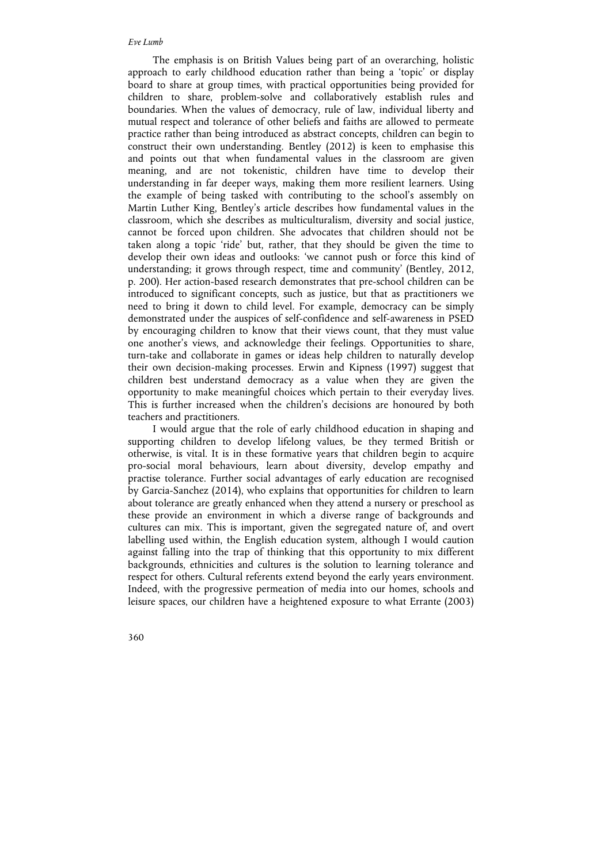## *Eve Lumb*

The emphasis is on British Values being part of an overarching, holistic approach to early childhood education rather than being a 'topic' or display board to share at group times, with practical opportunities being provided for children to share, problem-solve and collaboratively establish rules and boundaries. When the values of democracy, rule of law, individual liberty and mutual respect and tolerance of other beliefs and faiths are allowed to permeate practice rather than being introduced as abstract concepts, children can begin to construct their own understanding. Bentley (2012) is keen to emphasise this and points out that when fundamental values in the classroom are given meaning, and are not tokenistic, children have time to develop their understanding in far deeper ways, making them more resilient learners. Using the example of being tasked with contributing to the school's assembly on Martin Luther King, Bentley's article describes how fundamental values in the classroom, which she describes as multiculturalism, diversity and social justice, cannot be forced upon children. She advocates that children should not be taken along a topic 'ride' but, rather, that they should be given the time to develop their own ideas and outlooks: 'we cannot push or force this kind of understanding; it grows through respect, time and community' (Bentley, 2012, p. 200). Her action-based research demonstrates that pre-school children can be introduced to significant concepts, such as justice, but that as practitioners we need to bring it down to child level. For example, democracy can be simply demonstrated under the auspices of self-confidence and self-awareness in PSED by encouraging children to know that their views count, that they must value one another's views, and acknowledge their feelings. Opportunities to share, turn-take and collaborate in games or ideas help children to naturally develop their own decision-making processes. Erwin and Kipness (1997) suggest that children best understand democracy as a value when they are given the opportunity to make meaningful choices which pertain to their everyday lives. This is further increased when the children's decisions are honoured by both teachers and practitioners.

I would argue that the role of early childhood education in shaping and supporting children to develop lifelong values, be they termed British or otherwise, is vital. It is in these formative years that children begin to acquire pro-social moral behaviours, learn about diversity, develop empathy and practise tolerance. Further social advantages of early education are recognised by Garcia-Sanchez (2014), who explains that opportunities for children to learn about tolerance are greatly enhanced when they attend a nursery or preschool as these provide an environment in which a diverse range of backgrounds and cultures can mix. This is important, given the segregated nature of, and overt labelling used within, the English education system, although I would caution against falling into the trap of thinking that this opportunity to mix different backgrounds, ethnicities and cultures is the solution to learning tolerance and respect for others. Cultural referents extend beyond the early years environment. Indeed, with the progressive permeation of media into our homes, schools and leisure spaces, our children have a heightened exposure to what Errante (2003)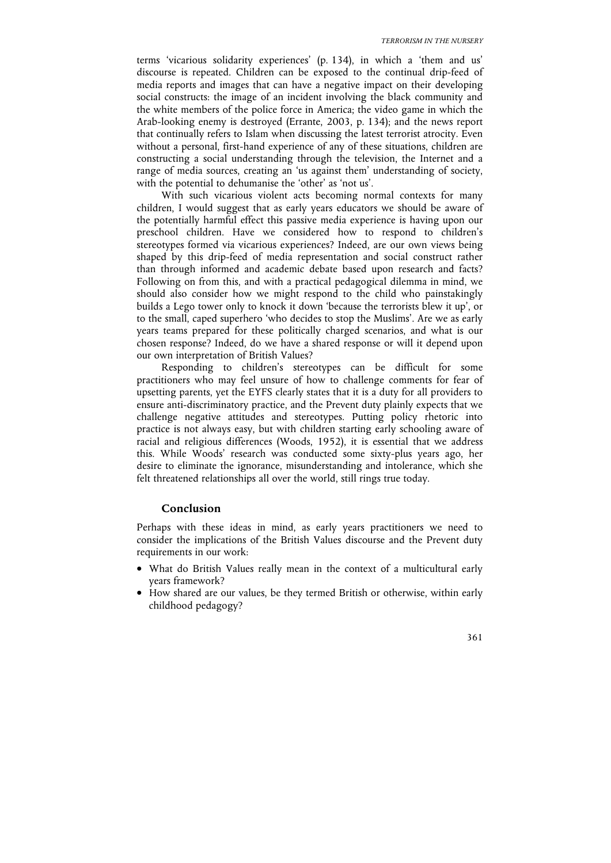terms 'vicarious solidarity experiences' (p. 134), in which a 'them and us' discourse is repeated. Children can be exposed to the continual drip-feed of media reports and images that can have a negative impact on their developing social constructs: the image of an incident involving the black community and the white members of the police force in America; the video game in which the Arab-looking enemy is destroyed (Errante, 2003, p. 134); and the news report that continually refers to Islam when discussing the latest terrorist atrocity. Even without a personal, first-hand experience of any of these situations, children are constructing a social understanding through the television, the Internet and a range of media sources, creating an 'us against them' understanding of society, with the potential to dehumanise the 'other' as 'not us'.

With such vicarious violent acts becoming normal contexts for many children, I would suggest that as early years educators we should be aware of the potentially harmful effect this passive media experience is having upon our preschool children. Have we considered how to respond to children's stereotypes formed via vicarious experiences? Indeed, are our own views being shaped by this drip-feed of media representation and social construct rather than through informed and academic debate based upon research and facts? Following on from this, and with a practical pedagogical dilemma in mind, we should also consider how we might respond to the child who painstakingly builds a Lego tower only to knock it down 'because the terrorists blew it up', or to the small, caped superhero 'who decides to stop the Muslims'. Are we as early years teams prepared for these politically charged scenarios, and what is our chosen response? Indeed, do we have a shared response or will it depend upon our own interpretation of British Values?

Responding to children's stereotypes can be difficult for some practitioners who may feel unsure of how to challenge comments for fear of upsetting parents, yet the EYFS clearly states that it is a duty for all providers to ensure anti-discriminatory practice, and the Prevent duty plainly expects that we challenge negative attitudes and stereotypes. Putting policy rhetoric into practice is not always easy, but with children starting early schooling aware of racial and religious differences (Woods, 1952), it is essential that we address this. While Woods' research was conducted some sixty-plus years ago, her desire to eliminate the ignorance, misunderstanding and intolerance, which she felt threatened relationships all over the world, still rings true today.

## **Conclusion**

Perhaps with these ideas in mind, as early years practitioners we need to consider the implications of the British Values discourse and the Prevent duty requirements in our work:

- What do British Values really mean in the context of a multicultural early years framework?
- How shared are our values, be they termed British or otherwise, within early childhood pedagogy?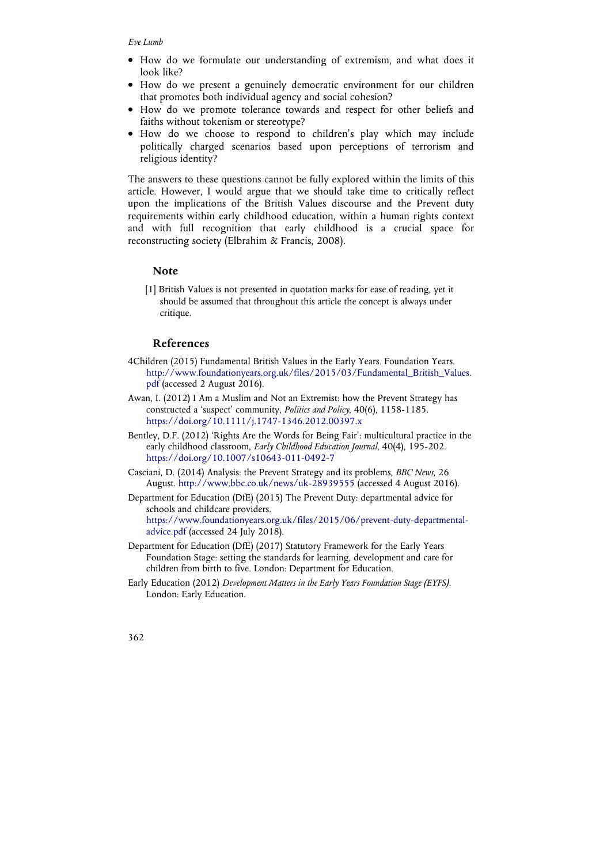- How do we formulate our understanding of extremism, and what does it look like?
- How do we present a genuinely democratic environment for our children that promotes both individual agency and social cohesion?
- How do we promote tolerance towards and respect for other beliefs and faiths without tokenism or stereotype?
- How do we choose to respond to children's play which may include politically charged scenarios based upon perceptions of terrorism and religious identity?

The answers to these questions cannot be fully explored within the limits of this article. However, I would argue that we should take time to critically reflect upon the implications of the British Values discourse and the Prevent duty requirements within early childhood education, within a human rights context and with full recognition that early childhood is a crucial space for reconstructing society (Elbrahim & Francis, 2008).

#### **Note**

[1] British Values is not presented in quotation marks for ease of reading, yet it should be assumed that throughout this article the concept is always under critique.

## **References**

- 4Children (2015) Fundamental British Values in the Early Years*.* Foundation Years. http://www.foundationyears.org.uk/files/2015/03/Fundamental\_British\_Values. pdf (accessed 2 August 2016).
- Awan, I. (2012) I Am a Muslim and Not an Extremist: how the Prevent Strategy has constructed a 'suspect' community, *Politics and Policy*, 40(6), 1158-1185. https://doi.org/10.1111/j.1747-1346.2012.00397.x
- Bentley, D.F. (2012) 'Rights Are the Words for Being Fair': multicultural practice in the early childhood classroom, *Early Childhood Education Journal*, 40(4), 195-202. https://doi.org/10.1007/s10643-011-0492-7
- Casciani, D. (2014) Analysis: the Prevent Strategy and its problems, *BBC News*, 26 August. http://www.bbc.co.uk/news/uk-28939555 (accessed 4 August 2016).

Department for Education (DfE) (2015) The Prevent Duty: departmental advice for schools and childcare providers. https://www.foundationyears.org.uk/files/2015/06/prevent-duty-departmentaladvice.pdf (accessed 24 July 2018).

- Department for Education (DfE) (2017) Statutory Framework for the Early Years Foundation Stage: setting the standards for learning, development and care for children from birth to five. London: Department for Education.
- Early Education (2012) *Development Matters in the Early Years Foundation Stage (EYFS)*. London: Early Education.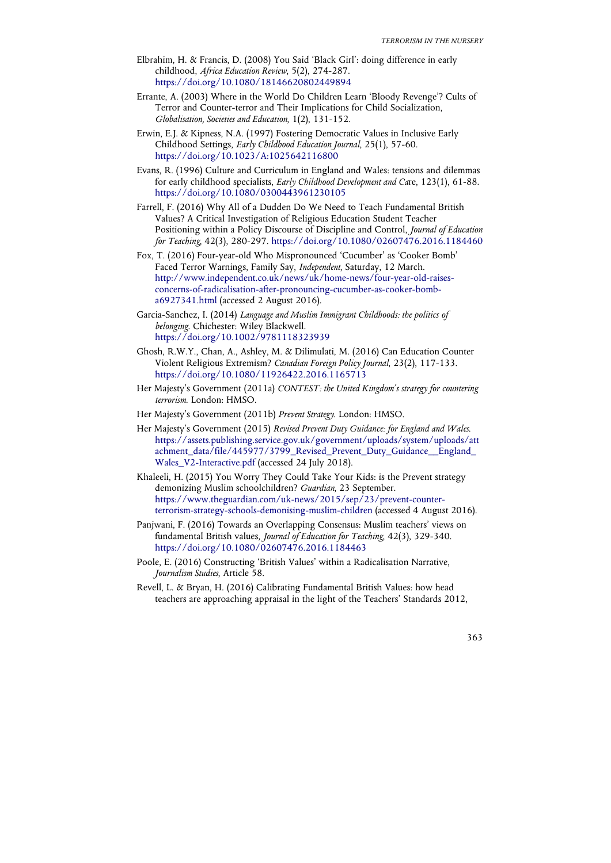- Elbrahim, H. & Francis, D. (2008) You Said 'Black Girl': doing difference in early childhood, *Africa Education Review*, 5(2), 274-287. https://doi.org/10.1080/18146620802449894
- Errante, A. (2003) Where in the World Do Children Learn 'Bloody Revenge'? Cults of Terror and Counter-terror and Their Implications for Child Socialization, *Globalisation, Societies and Education*, 1(2), 131-152.
- Erwin, E.J. & Kipness, N.A. (1997) Fostering Democratic Values in Inclusive Early Childhood Settings, *Early Childhood Education Journal*, 25(1), 57-60. https://doi.org/10.1023/A:1025642116800
- Evans, R. (1996) Culture and Curriculum in England and Wales: tensions and dilemmas for early childhood specialists, *Early Childhood Development and Ca*re, 123(1), 61-88. https://doi.org/10.1080/0300443961230105
- Farrell, F. (2016) Why All of a Dudden Do We Need to Teach Fundamental British Values? A Critical Investigation of Religious Education Student Teacher Positioning within a Policy Discourse of Discipline and Control, *Journal of Education for Teaching*, 42(3), 280-297. https://doi.org/10.1080/02607476.2016.1184460
- Fox, T. (2016) Four-year-old Who Mispronounced 'Cucumber' as 'Cooker Bomb' Faced Terror Warnings, Family Say, *Independent*, Saturday, 12 March. http://www.independent.co.uk/news/uk/home-news/four-year-old-raisesconcerns-of-radicalisation-after-pronouncing-cucumber-as-cooker-bomba6927341.html (accessed 2 August 2016).
- Garcia-Sanchez, I. (2014) *Language and Muslim Immigrant Childhoods: the politics of belonging*. Chichester: Wiley Blackwell. https://doi.org/10.1002/9781118323939
- Ghosh, R.W.Y., Chan, A., Ashley, M. & Dilimulati, M. (2016) Can Education Counter Violent Religious Extremism? *Canadian Foreign Policy Journal*, 23(2), 117-133. https://doi.org/10.1080/11926422.2016.1165713
- Her Majesty's Government (2011a) *CONTEST: the United Kingdom's strategy for countering terrorism*. London: HMSO.
- Her Majesty's Government (2011b) *Prevent Strategy*. London: HMSO.
- Her Majesty's Government (2015) *Revised Prevent Duty Guidance: for England and Wales*. https://assets.publishing.service.gov.uk/government/uploads/system/uploads/att achment\_data/file/445977/3799\_Revised\_Prevent\_Duty\_Guidance\_\_England\_ Wales\_V2-Interactive.pdf (accessed 24 July 2018).
- Khaleeli, H. (2015) You Worry They Could Take Your Kids: is the Prevent strategy demonizing Muslim schoolchildren? *Guardian*, 23 September. https://www.theguardian.com/uk-news/2015/sep/23/prevent-counterterrorism-strategy-schools-demonising-muslim-children (accessed 4 August 2016).
- Panjwani, F. (2016) Towards an Overlapping Consensus: Muslim teachers' views on fundamental British values, *Journal of Education for Teaching*, 42(3), 329-340. https://doi.org/10.1080/02607476.2016.1184463
- Poole, E. (2016) Constructing 'British Values' within a Radicalisation Narrative, *Journalism Studies*, Article 58.
- Revell, L. & Bryan, H. (2016) Calibrating Fundamental British Values: how head teachers are approaching appraisal in the light of the Teachers' Standards 2012,